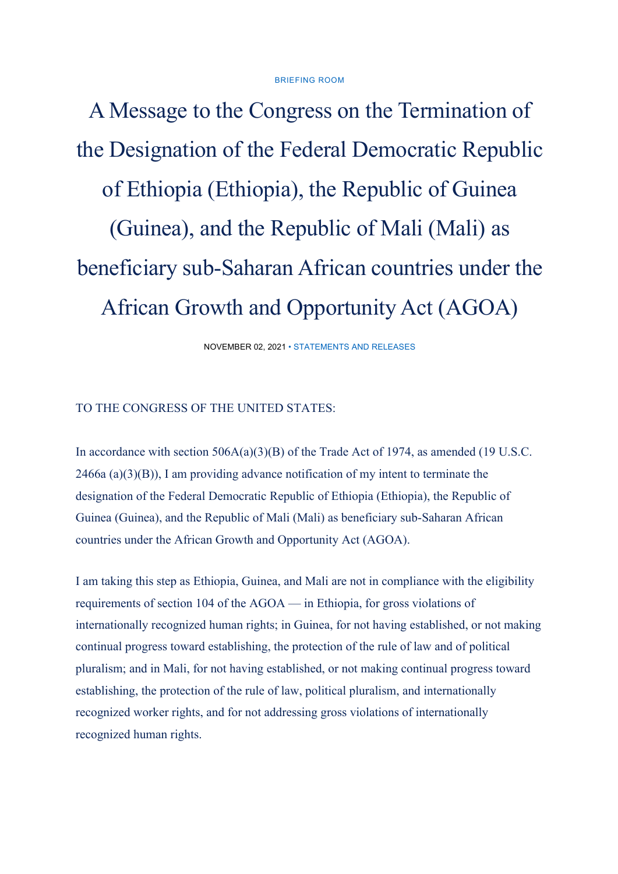## BRIEFING ROOM

A Message to the Congress on the Termination of the Designation of the Federal Democratic Republic of Ethiopia (Ethiopia), the Republic of Guinea (Guinea), and the Republic of Mali (Mali) as beneficiary sub-Saharan African countries under the African Growth and Opportunity Act (AGOA)

NOVEMBER 02, 2021 • STATEMENTS AND RELEASES

## TO THE CONGRESS OF THE UNITED STATES:

In accordance with section 506A(a)(3)(B) of the Trade Act of 1974, as amended (19 U.S.C. 2466a (a)(3)(B)), I am providing advance notification of my intent to terminate the designation of the Federal Democratic Republic of Ethiopia (Ethiopia), the Republic of Guinea (Guinea), and the Republic of Mali (Mali) as beneficiary sub-Saharan African countries under the African Growth and Opportunity Act (AGOA).

I am taking this step as Ethiopia, Guinea, and Mali are not in compliance with the eligibility requirements of section 104 of the AGOA — in Ethiopia, for gross violations of internationally recognized human rights; in Guinea, for not having established, or not making continual progress toward establishing, the protection of the rule of law and of political pluralism; and in Mali, for not having established, or not making continual progress toward establishing, the protection of the rule of law, political pluralism, and internationally recognized worker rights, and for not addressing gross violations of internationally recognized human rights.